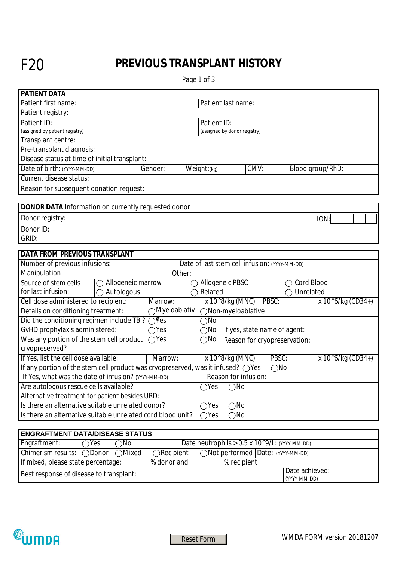## F20 **PREVIOUS TRANSPLANT HISTORY**

Page 1 of 3

| <b>PATIENT DATA</b>                                                             |                                                                                                                    |  |  |  |
|---------------------------------------------------------------------------------|--------------------------------------------------------------------------------------------------------------------|--|--|--|
| Patient first name:                                                             | Patient last name:                                                                                                 |  |  |  |
| Patient registry:                                                               |                                                                                                                    |  |  |  |
| Patient ID:                                                                     | Patient ID:                                                                                                        |  |  |  |
| (assigned by patient registry)                                                  | (assigned by donor registry)                                                                                       |  |  |  |
| Transplant centre:                                                              |                                                                                                                    |  |  |  |
| Pre-transplant diagnosis:                                                       |                                                                                                                    |  |  |  |
| Disease status at time of initial transplant:                                   |                                                                                                                    |  |  |  |
| Date of birth: (YYYY-MM-DD)<br>Gender:                                          | Weight: (kg)<br>CMV:<br>Blood group/RhD:<br>$\blacktriangledown$<br>$\blacktriangleright$<br>$\blacktriangleright$ |  |  |  |
| Current disease status:                                                         |                                                                                                                    |  |  |  |
| Reason for subsequent donation request:                                         | $\vert \vert$                                                                                                      |  |  |  |
|                                                                                 |                                                                                                                    |  |  |  |
| <b>DONOR DATA Information on currently requested donor</b>                      |                                                                                                                    |  |  |  |
| Donor registry:                                                                 | ION:                                                                                                               |  |  |  |
| Donor ID:                                                                       |                                                                                                                    |  |  |  |
| GRID:                                                                           |                                                                                                                    |  |  |  |
|                                                                                 |                                                                                                                    |  |  |  |
| <b>DATA FROM PREVIOUS TRANSPLANT</b>                                            |                                                                                                                    |  |  |  |
| Number of previous infusions:                                                   | Date of last stem cell infusion: (YYYY-MM-DD)                                                                      |  |  |  |
| Manipulation<br>⊡                                                               | Other:                                                                                                             |  |  |  |
| Source of stem cells<br>◯ Allogeneic marrow                                     | Allogeneic PBSC<br>Cord Blood                                                                                      |  |  |  |
| for last infusion:<br>$\bigcirc$ Autologous                                     | Related<br>Unrelated                                                                                               |  |  |  |
| Cell dose administered to recipient:<br>Marrow:                                 | x 10^8/kg (MNC)<br>PBSC:<br>x 10^6/kg (CD34+)                                                                      |  |  |  |
| Details on conditioning treatment:                                              | $\bigcirc$ Myeloablativ<br>ONon-myeloablative                                                                      |  |  |  |
| Did the conditioning regimen include TBI? ○ Fes                                 | $\bigcirc$ No                                                                                                      |  |  |  |
| GvHD prophylaxis administered:<br>$\overline{\bigcirc}$ Yes                     | If yes, state name of agent:<br>$\bigcirc$ No                                                                      |  |  |  |
| Was any portion of the stem cell product<br>$\bigcap$ Yes<br>cryopreserved?     | $\bigcirc$ No<br>Reason for cryopreservation:                                                                      |  |  |  |
| If Yes, list the cell dose available:<br>Marrow:                                | x 10^8/kg (MNC)<br>PBSC:<br>x 10^6/kg (CD34+)                                                                      |  |  |  |
| If any portion of the stem cell product was cryopreserved, was it infused? OYes | $\bigcirc$ No                                                                                                      |  |  |  |
| If Yes, what was the date of infusion? (YYYY-MM-DD)                             | Reason for infusion:                                                                                               |  |  |  |
| Are autologous rescue cells available?                                          | $\overline{\bigcirc}$ Yes<br>$\bigcirc$ No                                                                         |  |  |  |
| Alternative treatment for patient besides URD:                                  |                                                                                                                    |  |  |  |
| Is there an alternative suitable unrelated donor?                               | $\bigcirc$ Yes<br>$\bigcirc$ No                                                                                    |  |  |  |
| Is there an alternative suitable unrelated cord blood unit?                     | $\bigcirc$ Yes<br>$\bigcirc$ No                                                                                    |  |  |  |
|                                                                                 |                                                                                                                    |  |  |  |
| <b>ENGRAFTMENT DATA/DISEASE STATUS</b>                                          |                                                                                                                    |  |  |  |
| Engraftment:<br>$\overline{\text{N}}$ o<br>Yes                                  | Date neutrophils $> 0.5 \times 10^9/L$ : (YYYY-MM-DD)                                                              |  |  |  |
| Chimerism results:<br>Mixed<br>◯Donor                                           | ◯Not performed Date: (YYYY-MM-DD)<br>$\bigcirc$ Recipient                                                          |  |  |  |
| If mixed, please state percentage:<br>% donor and                               | % recipient                                                                                                        |  |  |  |
| Best response of disease to transplant:                                         | Date achieved:<br>$\left  \mathbf{v} \right $<br>(YYYY-MM-DD)                                                      |  |  |  |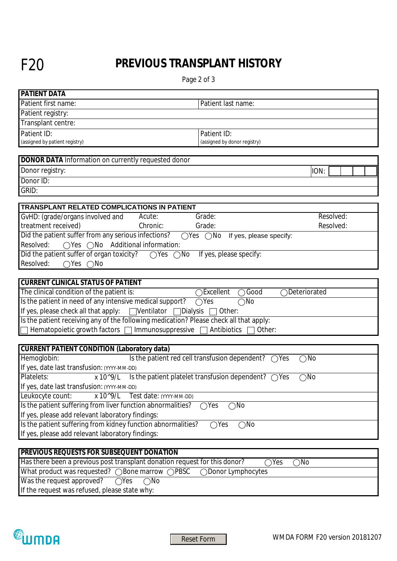## F20 **PREVIOUS TRANSPLANT HISTORY**

Page 2 of 3

| <b>PATIENT DATA</b>                                                                                |                                                                                                         |  |  |  |
|----------------------------------------------------------------------------------------------------|---------------------------------------------------------------------------------------------------------|--|--|--|
| Patient first name:                                                                                | Patient last name:                                                                                      |  |  |  |
| Patient registry:                                                                                  |                                                                                                         |  |  |  |
| Transplant centre:                                                                                 |                                                                                                         |  |  |  |
| Patient ID:                                                                                        | Patient ID:                                                                                             |  |  |  |
| (assigned by patient registry)                                                                     | (assigned by donor registry)                                                                            |  |  |  |
|                                                                                                    |                                                                                                         |  |  |  |
| <b>DONOR DATA Information on currently requested donor</b>                                         |                                                                                                         |  |  |  |
| Donor registry:                                                                                    | ION:                                                                                                    |  |  |  |
| Donor ID:                                                                                          |                                                                                                         |  |  |  |
| GRID:                                                                                              |                                                                                                         |  |  |  |
|                                                                                                    |                                                                                                         |  |  |  |
| <b>TRANSPLANT RELATED COMPLICATIONS IN PATIENT</b>                                                 |                                                                                                         |  |  |  |
| GvHD: (grade/organs involved and<br>Acute:<br>$\blacktriangledown$<br>treatment received)          | Resolved:<br>Grade:<br>$\blacktriangleright$<br>$\blacktriangleright$                                   |  |  |  |
| Chronic:<br>$\overline{\mathbf{v}}$<br>Did the patient suffer from any serious infections?         | Resolved:<br>Grade:<br>$\blacktriangledown$<br>$\blacktriangleright$<br>$\blacktriangledown$            |  |  |  |
| Resolved:<br>◯Yes ◯No Additional information:                                                      | $\bigcirc$ Yes $\bigcirc$ No<br>If yes, please specify:<br>$\blacktriangledown$                         |  |  |  |
| Did the patient suffer of organ toxicity?                                                          |                                                                                                         |  |  |  |
| $\bigcirc$ Yes<br>$\bigcirc$ No<br>$\bigcirc$ Yes<br>$\bigcirc$ No                                 | If yes, please specify:                                                                                 |  |  |  |
| Resolved:                                                                                          |                                                                                                         |  |  |  |
| <b>CURRENT CLINICAL STATUS OF PATIENT</b>                                                          |                                                                                                         |  |  |  |
| The clinical condition of the patient is:                                                          | Good<br>Excellent<br>Deteriorated                                                                       |  |  |  |
| Is the patient in need of any intensive medical support?<br>$\bigcirc$ Yes<br>$\bigcirc$ No        |                                                                                                         |  |  |  |
| If yes, please check all that apply: $\Box$ Ventilator<br>□Dialysis<br>Other:                      |                                                                                                         |  |  |  |
| Is the patient receiving any of the following medication? Please check all that apply:             |                                                                                                         |  |  |  |
| Hematopoietic growth factors □ Immunosuppressive □                                                 | Antibiotics<br>Other:                                                                                   |  |  |  |
|                                                                                                    |                                                                                                         |  |  |  |
| <b>CURRENT PATIENT CONDITION (Laboratory data)</b>                                                 |                                                                                                         |  |  |  |
| Hemoglobin:                                                                                        | $\overline{\phantom{a}}$ Is the patient red cell transfusion dependent? $\bigcirc$ Yes<br>$\bigcirc$ No |  |  |  |
| If yes, date last transfusion: (YYYY-MM-DD)                                                        |                                                                                                         |  |  |  |
| Platelets:<br>x 10^9/L Is the patient platelet transfusion dependent? $\bigcirc$ Yes               | $\bigcirc$ No                                                                                           |  |  |  |
| If yes, date last transfusion: (YYYY-MM-DD)                                                        |                                                                                                         |  |  |  |
| Leukocyte count:<br>$x 10^{\circ}9/L$<br>Test date: (YYYY-MM-DD)                                   |                                                                                                         |  |  |  |
| Is the patient suffering from liver function abnormalities?                                        | $\bigcirc$ Yes<br>$\bigcirc$ No                                                                         |  |  |  |
| If yes, please add relevant laboratory findings:                                                   |                                                                                                         |  |  |  |
| Is the patient suffering from kidney function abnormalities?<br>$\bigcirc$ Yes<br>$\bigcirc$ No    |                                                                                                         |  |  |  |
| If yes, please add relevant laboratory findings:                                                   |                                                                                                         |  |  |  |
|                                                                                                    |                                                                                                         |  |  |  |
| <b>PREVIOUS REQUESTS FOR SUBSEQUENT DONATION</b>                                                   |                                                                                                         |  |  |  |
| Has there been a previous post transplant donation request for this donor?<br>$\bigcirc$ No<br>Yes |                                                                                                         |  |  |  |
| What product was requested? () Bone marrow () PBSC<br>Donor Lymphocytes                            |                                                                                                         |  |  |  |

Was the request approved?  $\overline{\bigcirc}$  Yes  $\overline{\bigcirc}$  No

If the request was refused, please state why: